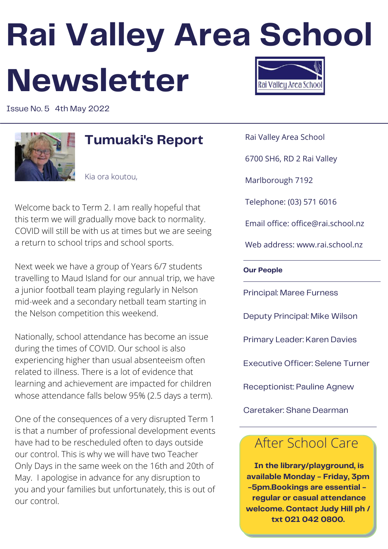# **Rai Valley Area School Newsletter** Rai Valleu Area Schoo

Issue No. 5 4th May 2022



### **Tumuaki's Report**

Kia ora koutou,

Welcome back to Term 2. I am really hopeful that this term we will gradually move back to normality. COVID will still be with us at times but we are seeing a return to school trips and school sports.

Next week we have a group of Years 6/7 students travelling to Maud Island for our annual trip, we have a junior football team playing regularly in Nelson mid-week and a secondary netball team starting in the Nelson competition this weekend.

Nationally, school attendance has become an issue during the times of COVID. Our school is also experiencing higher than usual absenteeism often related to illness. There is a lot of evidence that learning and achievement are impacted for children whose attendance falls below 95% (2.5 days a term).

One of the consequences of a very disrupted Term 1 is that a number of professional development events have had to be rescheduled often to days outside our control. This is why we will have two Teacher Only Days in the same week on the 16th and 20th of May. I apologise in advance for any disruption to you and your families but unfortunately, this is out of our control.

Rai Valley Area School

6700 SH6, RD 2 Rai Valley

Marlborough 7192

Telephone: (03) 571 6016

Email office: office@rai.school.nz

Web address: www.rai.school.nz

**Our People**

Principal: Maree Furness

Deputy Principal: Mike Wilson

Primary Leader: Karen Davies

Executive Officer: Selene Turner

Receptionist: Pauline Agnew

Caretaker: Shane Dearman

### After School Care

**In the library/playground, is available Monday - Friday, 3pm -5pm.Bookings are essential regular or casual attendance welcome. Contact Judy Hill ph / txt 021 042 0800.**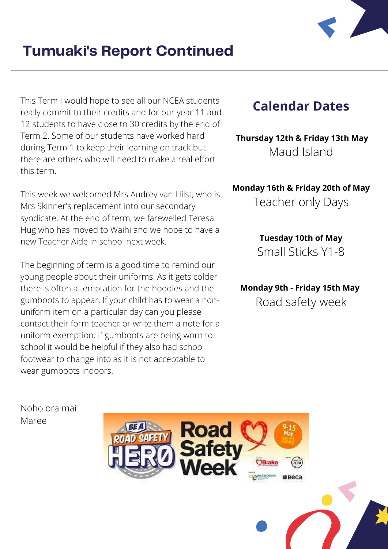

This Term I would hope to see all our NCEA students really commit to their credits and for our year 11 and 12 students to have close to 30 credits by the end of Term 2. Some of our students have worked hard during Term 1 to keep their learning on track but there are others who will need to make a real effort this term.

This week we welcomed Mrs Audrey van Hilst, who is Mrs Skinner's replacement into our secondary syndicate. At the end of term, we farewelled Teresa Hug who has moved to Waihi and we hope to have a new Teacher Aide in school next week.

The beginning of term is a good time to remind our young people about their uniforms. As it gets colder there is often a temptation for the hoodies and the gumboots to appear. If your child has to wear a nonuniform item on a particular day can you please contact their form teacher or write them a note for a uniform exemption. If gumboots are being worn to school it would be helpful if they also had school footwear to change into as it is not acceptable to wear gumboots indoors.

### **Calendar Dates**

**Thursday 12th & Friday 13th May** Maud Island

**Monday 16th & Friday 20th of May**

Teacher only Days

**Tuesday 10th of May** Small Sticks Y1-8

**Monday 9th - Friday 15th May** Road safety week

Noho ora mai Maree

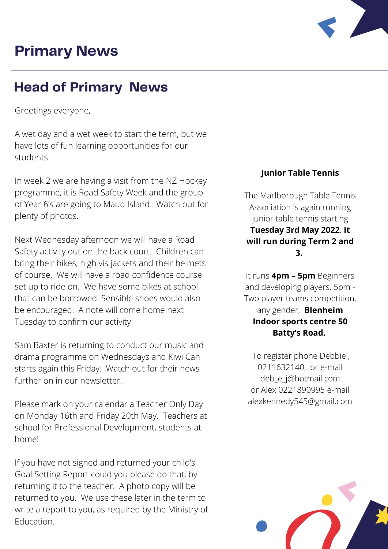## **Primary News**



### **Head of Primary News**

Greetings everyone,

A wet day and a wet week to start the term, but we have lots of fun learning opportunities for our students.

In week 2 we are having a visit from the NZ Hockey programme, it is Road Safety Week and the group of Year 6's are going to Maud Island. Watch out for plenty of photos.

Next Wednesday afternoon we will have a Road Safety activity out on the back court. Children can bring their bikes, high vis jackets and their helmets of course. We will have a road confidence course set up to ride on. We have some bikes at school that can be borrowed. Sensible shoes would also be encouraged. A note will come home next Tuesday to confirm our activity.

Sam Baxter is returning to conduct our music and drama programme on Wednesdays and Kiwi Can starts again this Friday. Watch out for their news further on in our newsletter.

Please mark on your calendar a Teacher Only Day on Monday 16th and Friday 20th May. Teachers at school for Professional Development, students at home!

If you have not signed and returned your child's Goal Setting Report could you please do that, by returning it to the teacher. A photo copy will be returned to you. We use these later in the term to write a report to you, as required by the Ministry of Education.

#### **Junior Table Tennis**

The Marlborough Table Tennis Association is again running junior table tennis starting **Tuesday 3rd May 2022**. **It will run during Term 2 and 3.**

It runs **4pm – 5pm** Beginners and developing players. 5pm - Two player teams competition, any gender, **Blenheim Indoor sports centre 50 Batty's Road.**

To register phone Debbie , 0211632140, or e-mail [deb\\_e\\_j@hotmail.com](mailto:deb_e_j@hotmail.com) or Alex 0221890995 e-mail alexkennedy545@gmail.com

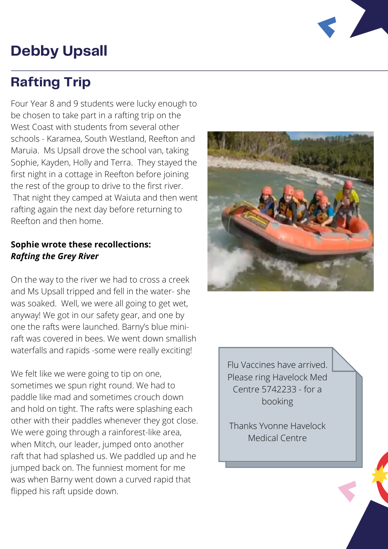# **Debby Upsall**

### **Rafting Trip**

Four Year 8 and 9 students were lucky enough to be chosen to take part in a rafting trip on the West Coast with students from several other schools - Karamea, South Westland, Reefton and Maruia. Ms Upsall drove the school van, taking Sophie, Kayden, Holly and Terra. They stayed the first night in a cottage in Reefton before joining the rest of the group to drive to the first river. That night they camped at Waiuta and then went rafting again the next day before returning to Reefton and then home.

### **Sophie wrote these recollections:** *Rafting the Grey River*

On the way to the river we had to cross a creek and Ms Upsall tripped and fell in the water- she was soaked. Well, we were all going to get wet, anyway! We got in our safety gear, and one by one the rafts were launched. Barny's blue miniraft was covered in bees. We went down smallish waterfalls and rapids -some were really exciting!

We felt like we were going to tip on one, sometimes we spun right round. We had to paddle like mad and sometimes crouch down and hold on tight. The rafts were splashing each other with their paddles whenever they got close. We were going through a rainforest-like area, when Mitch, our leader, jumped onto another raft that had splashed us. We paddled up and he jumped back on. The funniest moment for me was when Barny went down a curved rapid that flipped his raft upside down.



Flu Vaccines have arrived. Please ring Havelock Med Centre 5742233 - for a booking

Thanks Yvonne Havelock Medical Centre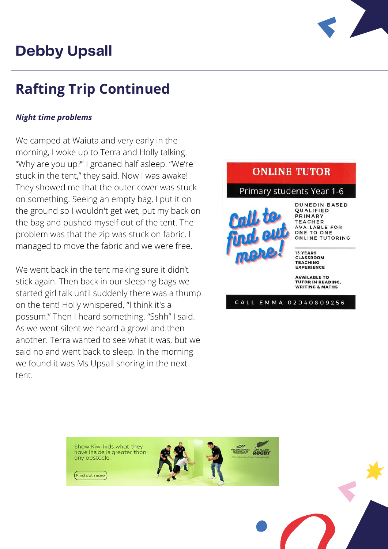# **Debby Upsall**



# **Rafting Trip Continued**

### *Night time problems*

We camped at Waiuta and very early in the morning, I woke up to Terra and Holly talking. "Why are you up?" I groaned half asleep. "We're stuck in the tent," they said. Now I was awake! They showed me that the outer cover was stuck on something. Seeing an empty bag, I put it on the ground so I wouldn't get wet, put my back on the bag and pushed myself out of the tent. The problem was that the zip was stuck on fabric. I managed to move the fabric and we were free.

We went back in the tent making sure it didn't stick again. Then back in our sleeping bags we started girl talk until suddenly there was a thump on the tent! Holly whispered, "I think it's a possum!" Then I heard something. "Sshh" I said. As we went silent we heard a growl and then another. Terra wanted to see what it was, but we said no and went back to sleep. In the morning we found it was Ms Upsall snoring in the next tent.

### **ONLINE TUTOR**

#### Primary students Year 1-6



**DUNEDIN BASED** QUALIFIED PRIMARY **TEACHER AVAILABLE FOR** ONE TO ONE ONLINE TUTORING

**13 YEARS CLASSROOM TEACHING EXPERIENCE** 

**AVAILABLE TO TUTOR IN READING. WRITING & MATHS** 

CALL EMMA 02040809256

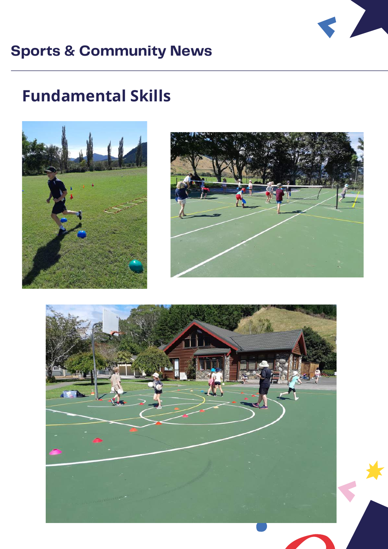

# **Sports & Community News**

# **Fundamental Skills**





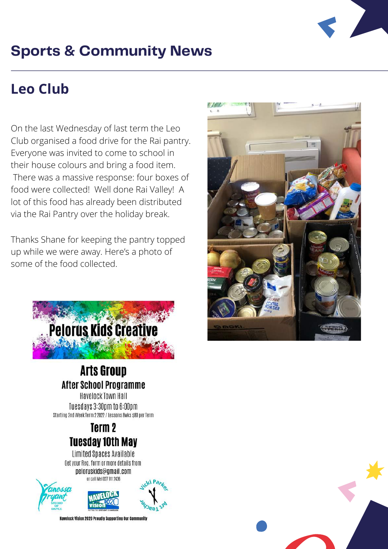

# **Sports & Community News**

# **Leo Club**

On the last Wednesday of last term the Leo Club organised a food drive for the Rai pantry. Everyone was invited to come to school in their house colours and bring a food item. There was a massive response: four boxes of food were collected! Well done Rai Valley! A lot of this food has already been distributed via the Rai Pantry over the holiday break.

Thanks Shane for keeping the pantry topped up while we were away. Here's a photo of some of the food collected.



### **Arts Group After School Programme**

**Havelock Town Hall** Tuesdays 3:30pm to 6:00pm Starting 2nd Week Term 2 2022 / Lessons 8wks \$80 per Term

### Term<sub>2</sub> **Tuesday 10th May**

Limited Spaces Available Get your Reg. form or more details from peloruskids@gmail.com or call Mel 027 911 2436



Havelock Vision 2020 Proudly Supporting Our Community



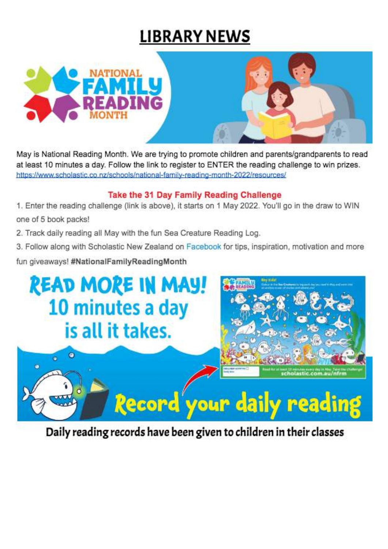# **LIBRARY NEWS**





May is National Reading Month. We are trying to promote children and parents/grandparents to read at least 10 minutes a day. Follow the link to register to ENTER the reading challenge to win prizes. https://www.scholastic.co.nz/schools/national-family-reading-month-2022/resources/

#### Take the 31 Day Family Reading Challenge

1. Enter the reading challenge (link is above), it starts on 1 May 2022. You'll go in the draw to WIN one of 5 book packs!

2. Track daily reading all May with the fun Sea Creature Reading Log.

3. Follow along with Scholastic New Zealand on Facebook for tips, inspiration, motivation and more

fun giveaways! #NationalFamilyReadingMonth



Daily reading records have been given to children in their classes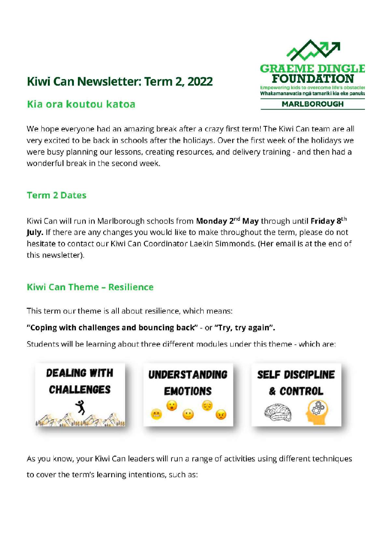### Kiwi Can Newsletter: Term 2, 2022



### Kia ora koutou katoa

We hope everyone had an amazing break after a crazy first term! The Kiwi Can team are all very excited to be back in schools after the holidays. Over the first week of the holidays we were busy planning our lessons, creating resources, and delivery training - and then had a wonderful break in the second week.

### **Term 2 Dates**

Kiwi Can will run in Marlborough schools from Monday 2<sup>nd</sup> May through until Friday 8<sup>th</sup> July. If there are any changes you would like to make throughout the term, please do not hesitate to contact our Kiwi Can Coordinator Laekin Simmonds. (Her email is at the end of this newsletter).

### **Kiwi Can Theme - Resilience**

This term our theme is all about resilience, which means:

#### "Coping with challenges and bouncing back" - or "Try, try again".

Students will be learning about three different modules under this theme - which are:



As you know, your Kiwi Can leaders will run a range of activities using different techniques to cover the term's learning intentions, such as: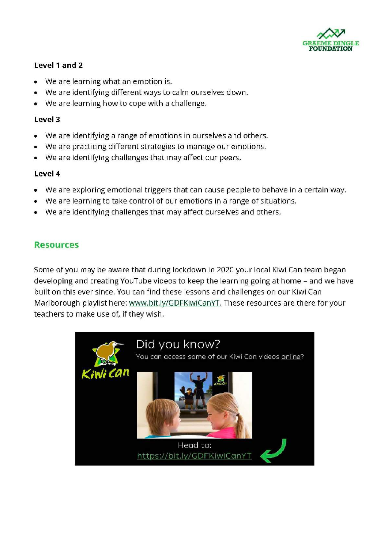

#### Level 1 and 2

- We are learning what an emotion is.
- We are identifying different ways to calm ourselves down.
- We are learning how to cope with a challenge.

#### Level 3

- We are identifying a range of emotions in ourselves and others.  $\bullet$
- We are practicing different strategies to manage our emotions.
- We are identifying challenges that may affect our peers.  $\bullet$

#### Level 4

- We are exploring emotional triggers that can cause people to behave in a certain way.
- We are learning to take control of our emotions in a range of situations.
- We are identifying challenges that may affect ourselves and others.

#### **Resources**

Some of you may be aware that during lockdown in 2020 your local Kiwi Can team began developing and creating YouTube videos to keep the learning going at home - and we have built on this ever since. You can find these lessons and challenges on our Kiwi Can Marlborough playlist here: www.bit.ly/GDFKiwiCanYT. These resources are there for your teachers to make use of, if they wish.